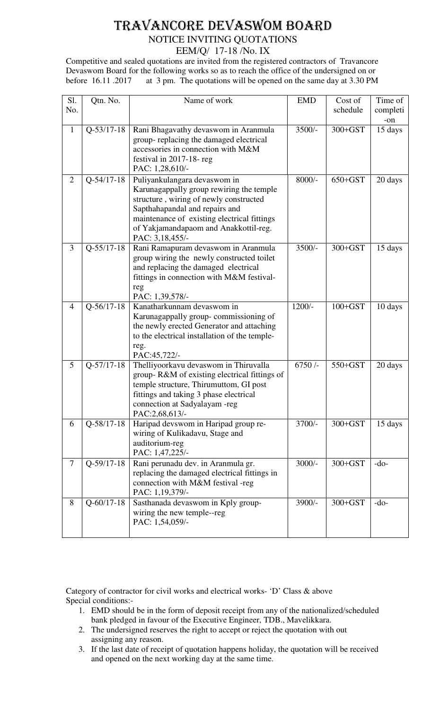# TRAVANCORE DEVASWOM BOARD

## NOTICE INVITING QUOTATIONS

EEM/Q/ 17-18 /No. IX

Competitive and sealed quotations are invited from the registered contractors of Travancore Devaswom Board for the following works so as to reach the office of the undersigned on or before 16.11 .2017 at 3 pm. The quotations will be opened on the same day at 3.30 PM

| Sl.            | Qtn. No.         | Name of work                                                                                                                                                                                                                                 | <b>EMD</b> | Cost of     | Time of  |
|----------------|------------------|----------------------------------------------------------------------------------------------------------------------------------------------------------------------------------------------------------------------------------------------|------------|-------------|----------|
| No.            |                  |                                                                                                                                                                                                                                              |            | schedule    | completi |
|                |                  |                                                                                                                                                                                                                                              |            |             | -on      |
| $\mathbf{1}$   | $Q-53/17-18$     | Rani Bhagavathy devaswom in Aranmula<br>group-replacing the damaged electrical<br>accessories in connection with M&M                                                                                                                         | $3500/-$   | $300 + GST$ | 15 days  |
|                |                  | festival in 2017-18-reg<br>PAC: 1,28,610/-                                                                                                                                                                                                   |            |             |          |
| $\overline{2}$ | $Q - 54/17 - 18$ | Puliyankulangara devaswom in<br>Karunagappally group rewiring the temple<br>structure, wiring of newly constructed<br>Sapthahapandal and repairs and<br>maintenance of existing electrical fittings<br>of Yakjamandapaom and Anakkottil-reg. | $8000/-$   | $650 + GST$ | 20 days  |
|                |                  | PAC: 3,18,455/-                                                                                                                                                                                                                              |            |             |          |
| 3              | $Q-55/17-18$     | Rani Ramapuram devaswom in Aranmula<br>group wiring the newly constructed toilet<br>and replacing the damaged electrical<br>fittings in connection with M&M festival-<br>reg                                                                 | $3500/-$   | $300 + GST$ | 15 days  |
|                |                  | PAC: 1,39,578/-                                                                                                                                                                                                                              |            |             |          |
| $\overline{4}$ | $Q-56/17-18$     | Kanatharkunnam devaswom in<br>Karunagappally group-commissioning of<br>the newly erected Generator and attaching<br>to the electrical installation of the temple-<br>reg.<br>PAC:45,722/-                                                    | $1200/-$   | $100 + GST$ | 10 days  |
| 5              | $Q-57/17-18$     | Thelliyoorkavu devaswom in Thiruvalla<br>group-R&M of existing electrical fittings of<br>temple structure, Thirumuttom, GI post<br>fittings and taking 3 phase electrical<br>connection at Sadyalayam -reg<br>PAC:2,68,613/-                 | 6750/      | 550+GST     | 20 days  |
| 6              | $Q-58/17-18$     | Haripad devswom in Haripad group re-<br>wiring of Kulikadavu, Stage and<br>auditorium-reg<br>PAC: 1,47,225/-                                                                                                                                 | 3700/-     | $300+GST$   | 15 days  |
| $\tau$         | $Q-59/17-18$     | Rani perunadu dev. in Aranmula gr.<br>replacing the damaged electrical fittings in<br>connection with M&M festival -reg<br>PAC: 1,19,379/-                                                                                                   | $3000/-$   | $300 + GST$ | $-do-$   |
| 8              | $Q - 60/17 - 18$ | Sasthanada devaswom in Kply group-<br>wiring the new temple--reg<br>PAC: 1,54,059/-                                                                                                                                                          | 3900/-     | $300 + GST$ | $-do-$   |

Category of contractor for civil works and electrical works- 'D' Class & above Special conditions:-

- 1. EMD should be in the form of deposit receipt from any of the nationalized/scheduled bank pledged in favour of the Executive Engineer, TDB., Mavelikkara.
- 2. The undersigned reserves the right to accept or reject the quotation with out assigning any reason.
- 3. If the last date of receipt of quotation happens holiday, the quotation will be received and opened on the next working day at the same time.